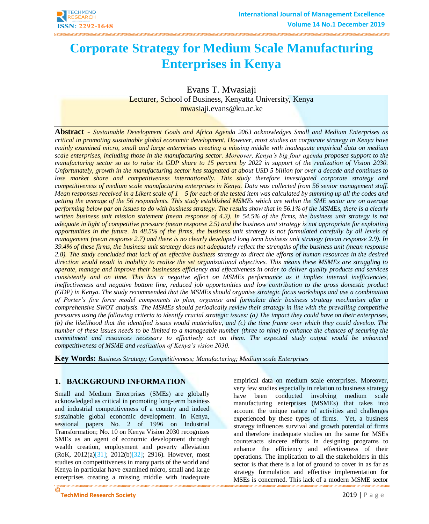

# **Corporate Strategy for Medium Scale Manufacturing Enterprises in Kenya**

Evans T. Mwasiaji Lecturer, School of Business, Kenyatta University, Kenya [mwasiaji.evans@ku.ac.ke](mailto:mwasiaji.evans@ku.ac.ke)

**Abstract** - *Sustainable Development Goals and Africa Agenda 2063 acknowledges Small and Medium Enterprises as critical in promoting sustainable global economic development. However, most studies on corporate strategy in Kenya have mainly examined micro, small and large enterprises creating a missing middle with inadequate empirical data on medium scale enterprises, including those in the manufacturing sector. Moreover, Kenya's big four agenda proposes support to the manufacturing sector so as to raise its GDP share to 15 percent by 2022 in support of the realization of Vision 2030. Unfortunately, growth in the manufacturing sector has stagnated at about USD 5 billion for over a decade and continues to*  lose market share and competitiveness internationally. This study therefore investigated corporate strategy and *competitiveness of medium scale manufacturing enterprises in Kenya. Data was collected from 56 senior management staff. Mean responses received in a Likert scale of 1 – 5 for each of the tested item was calculated by summing up all the codes and getting the average of the 56 respondents. This study established MSMEs which are within the SME sector are on average performing below par on issues to do with business strategy. The results show that in 56.1% of the MSMEs, there is a clearly written business unit mission statement (mean response of 4.3). In 54.5% of the firms, the business unit strategy is not adequate in light of competitive pressure (mean response 2.5) and the business unit strategy is not appropriate for exploiting opportunities in the future. In 48.5% of the firms, the business unit strategy is not formulated carefully by all levels of management (mean response 2.7) and there is no clearly developed long term business unit strategy (mean response 2.9). In 39.4% of these firms, the business unit strategy does not adequately reflect the strengths of the business unit (mean response 2.8). The study concluded that lack of an effective business strategy to direct the efforts of human resources in the desired direction would result in inability to realize the set organizational objectives. This means these MSMEs are struggling to operate, manage and improve their businesses efficiency and effectiveness in order to deliver quality products and services consistently and on time. This has a negative effect on MSMEs performance as it implies internal inefficiencies, ineffectiveness and negative bottom line, reduced job opportunities and low contribution to the gross domestic product (GDP) in Kenya. The study recommended that the MSMEs should organise strategic focus workshops and use a combination of Porter's five force model components to plan, organise and formulate their business strategy mechanism after a comprehensive SWOT analysis. The MSMEs should periodically review their strategy in line with the prevailing competitive pressures using the following criteria to identify crucial strategic issues: (a) The impact they could have on their enterprises, (b) the likelihood that the identified issues would materialize, and (c) the time frame over which they could develop. The number of these issues needs to be limited to a manageable number (three to nine) to enhance the chances of securing the commitment and resources necessary to effectively act on them. The expected study output would be enhanced competitiveness of MSME and realization of Kenya's vision 2030.*

**Key Words:** *Business Strategy; Competitiveness; Manufacturing; Medium scale Enterprises*

# **1. BACKGROUND INFORMATION**

Small and Medium Enterprises (SMEs) are globally acknowledged as critical in promoting long-term business and industrial competitiveness of a country and indeed sustainable global economic development. In Kenya, sessional papers No. 2 of 1996 on Industrial Transformation; No. 10 on Kenya Vision 2030 recognizes SMEs as an agent of economic development through wealth creation, employment and poverty alleviation (RoK, 2012(a[\)\[31\];](#page-8-0) 2012(b[\)\[32\];](#page-8-1) 2916). However, most studies on competitiveness in many parts of the world and Kenya in particular have examined micro, small and large enterprises creating a missing middle with inadequate

**©** empirical data on medium scale enterprises. Moreover, very few studies especially in relation to business strategy have been conducted involving medium scale manufacturing enterprises (MSMEs) that takes into account the unique nature of activities and challenges experienced by these types of firms. Yet, a business strategy influences survival and growth potential of firms and therefore inadequate studies on the same for MSEs counteracts sincere efforts in designing programs to enhance the efficiency and effectiveness of their operations. The implication to all the stakeholders in this sector is that there is a lot of ground to cover in as far as strategy formulation and effective implementation for MSEs is concerned. This lack of a modern MSME sector

**TechMind Research Society 2019** | P a g e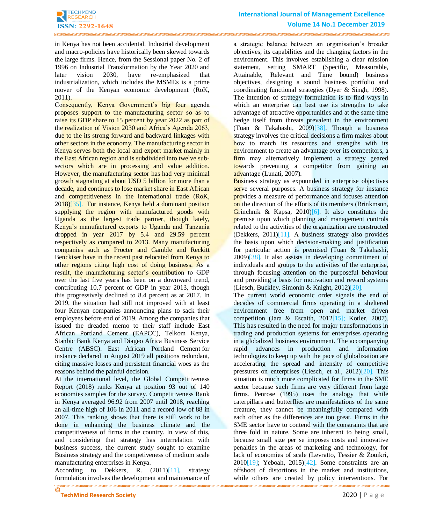.<br>NGC 1867 NGC 1867 NGC 1867 NGC 1867 NGC 1867 NGC 1867 NGC 1867 NGC 1867 NGC 1867 NGC 1867 NGC 1867 NGC 1867 NG

in Kenya has not been accidental. Industrial development and macro-policies have historically been skewed towards the large firms. Hence, from the Sessional paper No. 2 of 1996 on Industrial Transformation by the Year 2020 and later vision 2030, have re-emphasized that industrialization, which includes the MSMEs is a prime mover of the Kenyan economic development (RoK, 2011).

Consequently, Kenya Government's big four agenda proposes support to the manufacturing sector so as to raise its GDP share to 15 percent by year 2022 as part of the realization of Vision 2030 and Africa's Agenda 2063, due to the its strong forward and backward linkages with other sectors in the economy. The manufacturing sector in Kenya serves both the local and export market mainly in the East African region and is subdivided into twelve subsectors which are in processing and value addition. However, the manufacturing sector has had very minimal growth stagnating at about USD 5 billion for more than a decade, and continues to lose market share in East African and competitiveness in the international trade (RoK, 2018[\)\[35\].](#page-8-2) For instance, Kenya held a dominant position supplying the region with manufactured goods with Uganda as the largest trade partner, though lately, Kenya's manufactured exports to Uganda and Tanzania dropped in year 2017 by 5.4 and 29.59 percent respectively as compared to 2013. Many manufacturing companies such as Procter and Gamble and Reckitt Benckiser have in the recent past relocated from Kenya to other regions citing high cost of doing business. As a result, the manufacturing sector's contribution to GDP over the last five years has been on a downward trend, contributing 10.7 percent of GDP in year 2013, though this progressively declined to 8.4 percent as at 2017. In 2019, the situation had still not improved with at least four Kenyan companies announcing plans to sack their employees before end of 2019. Among the companies that issued the dreaded memo to their staff include East African Portland Cement (EAPCC), Telkom Kenya, Stanbic Bank Kenya and Diageo Africa Business Service Centre (ABSC). East African Portland Cement for instance declared in August 2019 all positions redundant, citing massive losses and persistent financial woes as the reasons behind the painful decision.

At the international level, the Global Competitiveness Report (2018) ranks Kenya at position 93 out of 140 economies samples for the survey. Competitiveness Rank in Kenya averaged 96.92 from 2007 until 2018, reaching an all-time high of 106 in 2011 and a record low of 88 in 2007. This ranking shows that there is still work to be done in enhancing the business climate and the competitiveness of firms in the country. In view of this, and considering that strategy has interrelation with business success, the current study sought to examine Business strategy and the competiveness of medium scale manufacturing enterprises in Kenya.

According to Dekkers, R. (2011[\)\[11\],](#page-8-3) strategy formulation involves the development and maintenance of a strategic balance between an organisation's broader objectives, its capabilities and the changing factors in the environment. This involves establishing a clear mission statement, setting SMART (Specific, Measurable, Attainable, Relevant and Time bound) business objectives, designing a sound business portfolio and coordinating functional strategies (Dyer & Singh, 1998). The intention of strategy formulation is to find ways in which an enterprise can best use its strengths to take advantage of attractive opportunities and at the same time hedge itself from threats prevalent in the environment (Tuan & Takahashi, 2009[\)\[38\].](#page-9-0) Though a business strategy involves the critical decisions a firm makes about how to match its resources and strengths with its environment to create an advantage over its competitors, a firm may alternatively implement a strategy geared towards preventing a competitor from gaining an advantage (Lunati, 2007).

Business strategy as expounded in enterprise objectives serve several purposes. A business strategy for instance provides a measure of performance and focuses attention on the direction of the efforts of its members (Brinkmsnn, Grinchnik & Kapsa, 2010[\)\[6\].](#page-8-4) It also constitutes the premise upon which planning and management controls related to the activities of the organization are constructed (Dekkers, 2011[\)\[11\].](#page-8-3) A business strategy also provides the basis upon which decision-making and justification for particular action is premised (Tuan & Takahashi, 2009[\)\[38\].](#page-9-0) It also assists in developing commitment of individuals and groups to the activities of the enterprise, through focusing attention on the purposeful behaviour and providing a basis for motivation and reward systems (Liesch, Buckley, Simonin & Knight, 2012[\)\[20\].](#page-8-5)

<u>, waana maanaan ka maanaan ka maanaan ka maanaan ka maanaan ka maanaan ka maanaan waxaan waxay ka maanaan ka m</u> The current world economic order signals the end of decades of commercial firms operating in a sheltered environment free from open and market driven competition (Jara & Escaith, 201[2\[15\];](#page-8-6) Kotler, 2007). This has resulted in the need for major transformations in trading and production systems for enterprises operating in a globalized business environment. The accompanying rapid advances in production and information technologies to keep up with the pace of globalization are accelerating the spread and intensity of competitive pressures on enterprises (Liesch, et al., 2012[\)\[20\].](#page-8-5) This situation is much more complicated for firms in the SME sector because such firms are very different from large firms. Penrose (1995) uses the analogy that while caterpillars and butterflies are manifestations of the same creature, they cannot be meaningfully compared with each other as the differences are too great. Firms in the SME sector have to contend with the constraints that are three fold in nature. Some are inherent to being small, because small size per se imposes costs and innovative penalties in the areas of marketing and technology, for lack of economies of scale (Levratto, Tessier & Zouikri,  $2010[19]$ ; Yeboah,  $2015[42]$ . Some constraints are an offshoot of distortions in the market and institutions, while others are created by policy interventions. For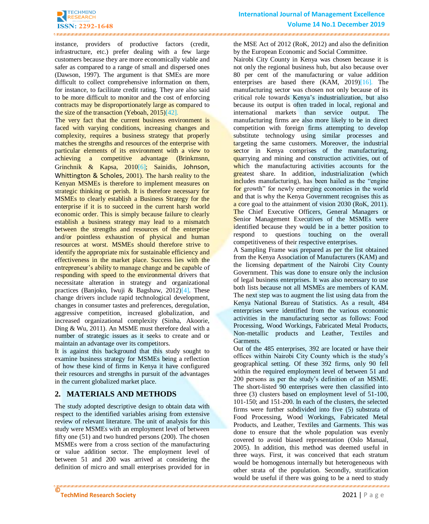

instance, providers of productive factors (credit, infrastructure, etc.) prefer dealing with a few large customers because they are more economically viable and safer as compared to a range of small and dispersed ones (Dawson, 1997). The argument is that SMEs are more difficult to collect comprehensive information on them, for instance, to facilitate credit rating. They are also said to be more difficult to monitor and the cost of enforcing contracts may be disproportionately large as compared to the size of the transaction (Yeboah, 2015[\)\[42\].](#page-9-1)

The very fact that the current business environment is faced with varying conditions, increasing changes and complexity, requires a business strategy that properly matches the strengths and resources of the enterprise with particular elements of its environment with a view to achieving a competitive advantage (Brinkmsnn, Grinchnik & Kapsa, 201[0\[6\];](#page-8-4) Sainidis, Johnson, Whittington & Scholes, 2001). The harsh reality to the Kenyan MSMEs is therefore to implement measures on strategic thinking or perish. It is therefore necessary for MSMEs to clearly establish a Business Strategy for the enterprise if it is to succeed in the current harsh world economic order. This is simply because failure to clearly establish a business strategy may lead to a mismatch between the strengths and resources of the enterprise and/or pointless exhaustion of physical and human resources at worst. MSMEs should therefore strive to identify the appropriate mix for sustainable efficiency and effectiveness in the market place. Success lies with the entrepreneur's ability to manage change and be capable of responding with speed to the environmental drivers that necessitate alteration in strategy and organizational practices (Banjoko, Iwuji & Bagshaw, 2012[\)\[4\].](#page-8-8) These change drivers include rapid technological development, changes in consumer tastes and preferences, deregulation, aggressive competition, increased globalization, and increased organizational complexity (Sinha, Akoorie, Ding & Wu, 2011). An MSME must therefore deal with a number of strategic issues as it seeks to create and or maintain an advantage over its competitors.

It is against this background that this study sought to examine business strategy for MSMEs being a reflection of how these kind of firms in Kenya it have configured their resources and strengths in pursuit of the advantages in the current globalized market place.

# **2. MATERIALS AND METHODS**

The study adopted descriptive design to obtain data with respect to the identified variables arising from extensive review of relevant literature. The unit of analysis for this study were MSMEs with an employment level of between fifty one (51) and two hundred persons (200). The chosen MSMEs were from a cross section of the manufacturing or value addition sector. The employment level of between 51 and 200 was arrived at considering the definition of micro and small enterprises provided for in

the MSE Act of 2012 (RoK, 2012) and also the definition by the European Economic and Social Committee.

Nairobi City County in Kenya was chosen because it is not only the regional business hub, but also because over 80 per cent of the manufacturing or value addition enterprises are based there (KAM, 2019[\)\[16\].](#page-8-9) The manufacturing sector was chosen not only because of its critical role towards Kenya's industrialization, but also because its output is often traded in local, regional and international markets than service output. The manufacturing firms are also more likely to be in direct competition with foreign firms attempting to develop substitute technology using similar processes and targeting the same customers. Moreover, the industrial sector in Kenya comprises of the manufacturing, quarrying and mining and construction activities, out of which the manufacturing activities accounts for the greatest share. In addition, industrialization (which includes manufacturing), has been hailed as the "engine" for growth" for newly emerging economies in the world and that is why the Kenya Government recognises this as a core goal to the attainment of vision 2030 (RoK, 2011). The Chief Executive Officers, General Managers or Senior Management Executives of the MSMEs were identified because they would be in a better position to respond to questions touching on the overall competitiveness of their respective enterprises.

A Sampling Frame was prepared as per the list obtained from the Kenya Association of Manufacturers (KAM) and the licensing department of the Nairobi City County Government. This was done to ensure only the inclusion of legal business enterprises. It was also necessary to use both lists because not all MSMEs are members of KAM. The next step was to augment the list using data from the Kenya National Bureau of Statistics. As a result, 484 enterprises were identified from the various economic activities in the manufacturing sector as follows: Food Processing, Wood Workings, Fabricated Metal Products, Non-metallic products and Leather, Textiles and Garments.

Out of the 485 enterprises, 392 are located or have their offices within Nairobi City County which is the study's geographical setting. Of these 392 firms, only 90 fell within the required employment level of between 51 and 200 persons as per the study's definition of an MSME. The short-listed 90 enterprises were then classified into three (3) clusters based on employment level of 51-100, 101-150; and 151-200. In each of the clusters, the selected firms were further subdivided into five (5) substrata of Food Processing, Wood Workings, Fabricated Metal Products, and Leather, Textiles and Garments. This was done to ensure that the whole population was evenly covered to avoid biased representation (Oslo Manual, 2005). In addition, this method was deemed useful in three ways. First, it was conceived that each stratum would be homogenous internally but heterogeneous with other strata of the population. Secondly, stratification would be useful if there was going to be a need to study

**©**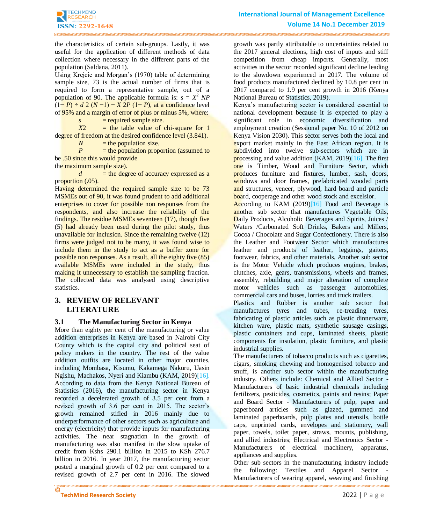the characteristics of certain sub-groups. Lastly, it was useful for the application of different methods of data collection where necessary in the different parts of the population (Saldana, 2011).

.<br>• what are are are an included a compact on the area on that are an area on the area of the area of the area of the area of the

Using Krejcie and Morgan's (1970) table of determining sample size, 73 is the actual number of firms that is required to form a representative sample, out of a population of 90. The applicable formula is:  $s = X^2 NP$ (1− *P*) ÷ *d* 2 (*N* −1) + *X* 2*P* (1− *P*), at a confidence level of 95% and a margin of error of plus or minus 5%, where:

 $s = required sample size.$ 

*X*2 = the table value of chi-square for 1 degree of freedom at the desired confidence level (3.841).

 $N =$  the population size.

*P* = the population proportion (assumed to be .50 since this would provide

the maximum sample size).

 $d =$  the degree of accuracy expressed as a proportion  $(.05)$ .

Having determined the required sample size to be 73 MSMEs out of 90, it was found prudent to add additional enterprises to cover for possible non responses from the respondents, and also increase the reliability of the findings. The residue MSMEs seventeen (17), though five (5) had already been used during the pilot study, thus unavailable for inclusion. Since the remaining twelve (12) firms were judged not to be many, it was found wise to include them in the study to act as a buffer zone for possible non responses. As a result, all the eighty five (85) available MSMEs were included in the study, thus making it unnecessary to establish the sampling fraction. The collected data was analysed using descriptive statistics.

# **3. REVIEW OF RELEVANT LITERATURE**

# **3.1 The Manufacturing Sector in Kenya**

More than eighty per cent of the manufacturing or value addition enterprises in Kenya are based in Nairobi City County which is the capital city and political seat of policy makers in the country. The rest of the value addition outfits are located in other major counties, including Mombasa, Kisumu, Kakamega Nakuru, Uasin Ngishu, Machakos, Nyeri and Kiambu (KAM, 2019[\)\[16\].](#page-8-9) According to data from the Kenya National Bureau of Statistics (2016), the manufacturing sector in Kenya recorded a decelerated growth of 3.5 per cent from a revised growth of 3.6 per cent in 2015. The sector's growth remained stifled in 2016 mainly due to underperformance of other sectors such as agriculture and energy (electricity) that provide inputs for manufacturing activities. The near stagnation in the growth of manufacturing was also manifest in the slow uptake of credit from Kshs 290.1 billion in 2015 to KSh 276.7 billion in 2016. In year 2017, the manufacturing sector posted a marginal growth of 0.2 per cent compared to a revised growth of 2.7 per cent in 2016. The slowed

growth was partly attributable to uncertainties related to the 2017 general elections, high cost of inputs and stiff competition from cheap imports. Generally, most activities in the sector recorded significant decline leading to the slowdown experienced in 2017. The volume of food products manufactured declined by 10.8 per cent in 2017 compared to 1.9 per cent growth in 2016 (Kenya National Bureau of Statistics, 2019).

Kenya's manufacturing sector is considered essential to national development because it is expected to play a significant role in economic diversification and employment creation (Sessional paper No. 10 of 2012 on Kenya Vision 2030). This sector serves both the local and export market mainly in the East African region. It is subdivided into twelve sub-sectors which are in processing and value addition (KAM, 2019[\)\[16\].](#page-8-9) The first one is Timber, Wood and Furniture Sector, which produces furniture and fixtures, lumber, sash, doors, windows and door frames, prefabricated wooded parts and structures, veneer, plywood, hard board and particle board, cooperage and other wood stock and excelsior.

According to KAM (2019[\)\[16\]](#page-8-9) Food and Beverage is another sub sector that manufactures Vegetable Oils, Daily Products, Alcoholic Beverages and Spirits, Juices / Waters /Carbonated Soft Drinks, Bakers and Millers, Cocoa / Chocolate and Sugar Confectionery. There is also the Leather and Footwear Sector which manufactures leather and products of leather, leggings, gaiters, footwear, fabrics, and other materials. Another sub sector is the Motor Vehicle which produces engines, brakes, clutches, axle, gears, transmissions, wheels and frames, assembly, rebuilding and major alteration of complete motor vehicles such as passenger automobiles, commercial cars and buses, lorries and truck trailers.

Plastics and Rubber is another sub sector that manufactures tyres and tubes, re-treading tyres, fabricating of plastic articles such as plastic dinnerware, kitchen ware, plastic mats, synthetic sausage casings, plastic containers and cups, laminated sheets, plastic components for insulation, plastic furniture, and plastic industrial supplies.

The manufacturers of tobacco products such as cigarettes, cigars, smoking chewing and homogenised tobacco and snuff, is another sub sector within the manufacturing industry. Others include: Chemical and Allied Sector - Manufacturers of basic industrial chemicals including fertilizers, pesticides, cosmetics, paints and resins; Paper and Board Sector - Manufacturers of pulp, paper and paperboard articles such as glazed, gummed and laminated paperboards, pulp plates and utensils, bottle caps, unprinted cards, envelopes and stationery, wall paper, towels, toilet paper, straws, mounts, publishing, and allied industries; Electrical and Electronics Sector - Manufacturers of electrical machinery, apparatus, appliances and supplies.

Other sub sectors in the manufacturing industry include the following: Textiles and Apparel Sector - Manufacturers of wearing apparel, weaving and finishing

<u>, waana maanaan ka maanaan ka maanaan maanaan ka maanaan ka maanaan ka maanaan waxaan waxay ka maanaan ka maana</u>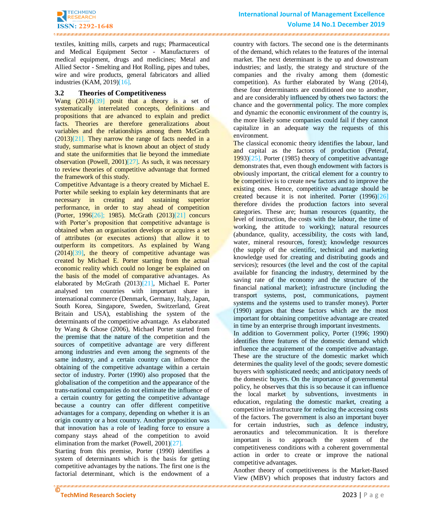

.<br>INSEE INSEE INSEE INSEE INSEE INSEE INSEE INSEE INSEE INSEE INSEE INSEE INSEE INSEE INSEE INSEE INSEE INSEE INSEE IN

textiles, knitting mills, carpets and rugs; Pharmaceutical and Medical Equipment Sector - Manufacturers of medical equipment, drugs and medicines; Metal and Allied Sector - Smelting and Hot Rolling, pipes and tubes, wire and wire products, general fabricators and allied industries (KAM, 2019[\)\[16\].](#page-8-9)

#### **3.2 Theories of Competitiveness**

Wang (2014[\)\[39\]](#page-9-2) posit that a theory is a set of systematically interrelated concepts, definitions and propositions that are advanced to explain and predict facts. Theories are therefore generalizations about variables and the relationships among them McGrath  $(2013)[21]$ . They narrow the range of facts needed in a study, summarise what is known about an object of study and state the uniformities that lie beyond the immediate observation (Powell, 2001[\)\[27\].](#page-8-11) As such, it was necessary to review theories of competitive advantage that formed the framework of this study.

Competitive Advantage is a theory created by Michael E. Porter while seeking to explain key determinants that are necessary in creating and sustaining superior performance, in order to stay ahead of competition (Porter, 199[6\[26\];](#page-8-12) 1985). McGrath (2013[\)\[21\]](#page-8-10) concurs with Porter's proposition that competitive advantage is obtained when an organisation develops or acquires a set of attributes (or executes actions) that allow it to outperform its competitors. As explained by Wang  $(2014)[39]$ , the theory of competitive advantage was created by Michael E. Porter starting from the actual economic reality which could no longer be explained on the basis of the model of comparative advantages. As elaborated by McGrath (2013[\)\[21\],](#page-8-10) Michael E. Porter analysed ten countries with important share in international commerce (Denmark, Germany, Italy, Japan, South Korea, Singapore, Sweden, Switzerland, Great Britain and USA), establishing the system of the determinants of the competitive advantage. As elaborated by Wang & Ghose (2006), Michael Porter started from the premise that the nature of the competition and the sources of competitive advantage are very different among industries and even among the segments of the same industry, and a certain country can influence the obtaining of the competitive advantage within a certain sector of industry. Porter (1990) also proposed that the globalisation of the competition and the appearance of the trans-national companies do not eliminate the influence of a certain country for getting the competitive advantage because a country can offer different competitive advantages for a company, depending on whether it is an origin country or a host country. Another proposition was that innovation has a role of leading force to ensure a company stays ahead of the competition to avoid elimination from the market (Powell, 2001[\)\[27\].](#page-8-11)

Starting from this premise, Porter (1990) identifies a system of determinants which is the basis for getting competitive advantages by the nations. The first one is the factorial determinant, which is the endowment of a

country with factors. The second one is the determinants of the demand, which relates to the features of the internal market. The next determinant is the up and downstream industries; and lastly, the strategy and structure of the companies and the rivalry among them (domestic competition). As further elaborated by Wang (2014), these four determinants are conditioned one to another, and are considerably influenced by others two factors: the chance and the governmental policy. The more complex and dynamic the economic environment of the country is, the more likely some companies could fail if they cannot capitalize in an adequate way the requests of this environment.

The classical economic theory identifies the labour, land and capital as the factors of production (Peteraf, 1993[\)\[25\].](#page-8-13) Porter (1985) theory of competitive advantage demonstrates that, even though endowment with factors is obviously important, the critical element for a country to be competitive is to create new factors and to improve the existing ones. Hence, competitive advantage should be created because it is not inherited. Porter (1996[\)\[26\]](#page-8-12) therefore divides the production factors into several categories. These are; human resources (quantity, the level of instruction, the costs with the labour, the time of working, the attitude to working); natural resources (abundance, quality, accessibility, the costs with land, water, mineral resources, forest); knowledge resources (the supply of the scientific, technical and marketing knowledge used for creating and distributing goods and services); resources (the level and the cost of the capital available for financing the industry, determined by the saving rate of the economy and the structure of the financial national market); infrastructure (including the transport systems, post, communications, payment systems and the systems used to transfer money). Porter (1990) argues that these factors which are the most important for obtaining competitive advantage are created in time by an enterprise through important investments. In addition to Government policy, Porter (1996; 1990) identifies three features of the domestic demand which influence the acquirement of the competitive advantage. These are the structure of the domestic market which determines the quality level of the goods; severe domestic buyers with sophisticated needs; and anticipatory needs of the domestic buyers. On the importance of governmental policy, he observes that this is so because it can influence the local market by subventions, investments in education, regulating the domestic market, creating a competitive infrastructure for reducing the accessing costs of the factors. The government is also an important buyer for certain industries, such as defence industry, aeronautics and telecommunication. It is therefore important is to approach the system of the competitiveness conditions with a coherent governmental action in order to create or improve the national

Another theory of competitiveness is the Market-Based View (MBV) which proposes that industry factors and

competitive advantages.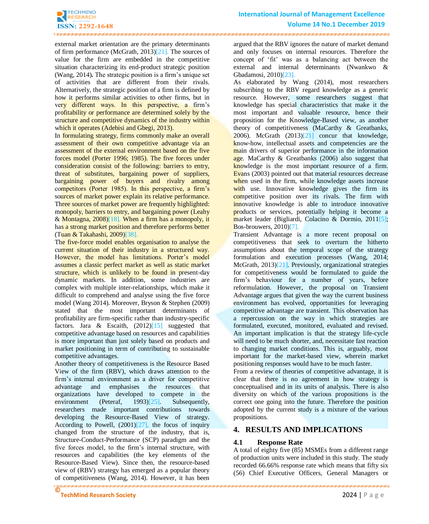external market orientation are the primary determinants of firm performance (McGrath, 2013[\)\[21\].](#page-8-10) The sources of value for the firm are embedded in the competitive situation characterizing its end-product strategic position (Wang, 2014)**.** The strategic position is a firm's unique set of activities that are different from their rivals. Alternatively, the strategic position of a firm is defined by how it performs similar activities to other firms, but in very different ways. In this perspective, a firm's profitability or performance are determined solely by the structure and competitive dynamics of the industry within which it operates (Adebisi and Gbegi, 2013).

In formulating strategy, firms commonly make an overall assessment of their own competitive advantage via an assessment of the external environment based on the five forces model (Porter 1996; 1985). The five forces under consideration consist of the following: barriers to entry, threat of substitutes, bargaining power of suppliers, bargaining power of buyers and rivalry among competitors (Porter 1985). In this perspective, a firm's sources of market power explain its relative performance. Three sources of market power are frequently highlighted: monopoly, barriers to entry, and bargaining power (Leahy & Montagna, 2008[\)\[18\].](#page-8-14) When a firm has a monopoly, it has a strong market position and therefore performs better (Tuan & Takahashi, 2009[\)\[38\].](#page-9-0)

The five-force model enables organisation to analyse the current situation of their industry in a structured way. However, the model has limitations. Porter's model assumes a classic perfect market as well as static market structure, which is unlikely to be found in present-day dynamic markets. In addition, some industries are complex with multiple inter-relationships, which make it difficult to comprehend and analyse using the five force model (Wang 2014). Moreover, Bryson & Stephen (2009) stated that the most important determinants of profitability are firm-specific rather than industry-specific factors. Jara & Escaith,  $(2012)[15]$  $(2012)[15]$  suggested that competitive advantage based on resources and capabilities is more important than just solely based on products and market positioning in term of contributing to sustainable competitive advantages.

**©** Another theory of competitiveness is the Resource Based View of the firm (RBV), which draws attention to the firm's internal environment as a driver for competitive advantage and emphasises the resources that organizations have developed to compete in the environment (Peteraf, 1993)<sup>[25]</sup>. Subsequently, researchers made important contributions towards developing the Resource-Based View of strategy. According to Powell,  $(2001)[27]$ , the focus of inquiry changed from the structure of the industry, that is, Structure-Conduct-Performance (SCP) paradigm and the five forces model, to the firm's internal structure, with resources and capabilities (the key elements of the Resource-Based View). Since then, the resource-based view of (RBV) strategy has emerged as a popular theory of competitiveness (Wang, 2014). However, it has been

argued that the RBV ignores the nature of market demand and only focuses on internal resources. Therefore the concept of 'fit' was as a balancing act between the external and internal determinants (Nwankwo & Gbadamosi, 2010[\)\[23\].](#page-8-15)

As elaborated by Wang (2014), most researchers subscribing to the RBV regard knowledge as a generic resource. However, some researchers suggest that knowledge has special characteristics that make it the most important and valuable resource, hence their proposition for the Knowledge-Based view, as another theory of competitiveness (MaCarthy & Greatbanks, 2006). McGrath (2013[\)\[21\]](#page-8-10) concur that knowledge, know-how, intellectual assets and competencies are the main drivers of superior performance in the information age. MaCarthy & Greatbanks (2006) also suggest that knowledge is the most important resource of a firm. Evans (2003) pointed out that material resources decrease when used in the firm, while knowledge assets increase with use. Innovative knowledge gives the firm its competitive position over its rivals. The firm with innovative knowledge is able to introduce innovative products or services, potentially helping it become a market leader (Bigliardi, Colacino & Dormio, 201[1\[5\];](#page-8-16) Bos-brouwers, 2010[\)\[7\].](#page-8-17)

Transient Advantage is a more recent proposal on competitiveness that seek to overturn the hitherto assumptions about the temporal scope of the strategy formulation and execution processes (Wang, 2014; McGrath, 2013[\)\[21\].](#page-8-10) Previously, organizational strategies for competitiveness would be formulated to guide the firm's behaviour for a number of years, before reformulation. However, the proposal on Transient Advantage argues that given the way the current business environment has evolved, opportunities for leveraging competitive advantage are transient. This observation has a repercussion on the way in which strategies are formulated, executed, monitored, evaluated and revised. An important implication is that the strategy life-cycle will need to be much shorter, and, necessitate fast reaction to changing market conditions. This is, arguably, most important for the market-based view, wherein market positioning responses would have to be much faster.

From a review of theories of competitive advantage, it is clear that there is no agreement in how strategy is conceptualised and in its units of analysis. There is also diversity on which of the various propositions is the correct one going into the future. Therefore the position adopted by the current study is a mixture of the various propositions.

# **4. RESULTS AND IMPLICATIONS**

# **4.1 Response Rate**

A total of eighty five (85) MSMEs from a different range of production units were included in this study. The study recorded 66.66% response rate which means that fifty six (56) Chief Executive Officers, General Managers or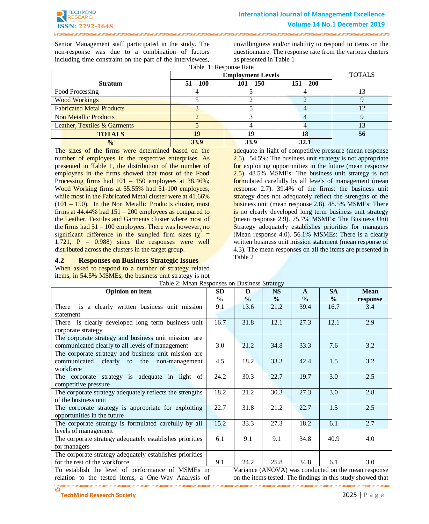

Senior Management staff participated in the study. The non-response was due to a combination of factors including time constraint on the part of the interviewees,

unwillingness and/or inability to respond to items on the questionnaire. The response rate from the various clusters as presented in Table 1

| Table 1: Response Rate |  |
|------------------------|--|
|------------------------|--|

|                                  | <b>Employment Levels</b> | <b>TOTALS</b> |             |    |
|----------------------------------|--------------------------|---------------|-------------|----|
| <b>Stratum</b>                   | $51 - 100$               | $101 - 150$   | $151 - 200$ |    |
| Food Processing                  |                          |               |             |    |
| <b>Wood Workings</b>             |                          |               |             |    |
| <b>Fabricated Metal Products</b> |                          |               |             |    |
| <b>Non Metallic Products</b>     |                          |               |             |    |
| Leather, Textiles & Garments     |                          |               |             |    |
| <b>TOTALS</b>                    | 19                       | 19            | 18          | 56 |
| $\frac{0}{0}$                    | 33.9                     | 33.9          | 32.1        |    |

The sizes of the firms were determined based on the number of employees in the respective enterprises. As presented in Table 1, the distribution of the number of employees in the firms showed that most of the Food Processing firms had 101 – 150 employees at 38.46%; Wood Working firms at 55.55% had 51-100 employees, while most in the Fabricated Metal cluster were at 41.66%  $(101 - 150)$ . In the Non Metallic Products cluster, most firms at  $44.44\%$  had  $151 - 200$  employees as compared to the Leather, Textiles and Garments cluster where most of the firms had  $51 - 100$  employees. There was however, no significant difference in the sampled firm sizes ( $\chi^2$  = 1.721,  $P = 0.988$  since the responses were well distributed across the clusters in the target group.

#### **4.2 Responses on Business Strategic Issues**

When asked to respond to a number of strategy related items, in 54.5% MSMEs, the business unit strategy is not

adequate in light of competitive pressure (mean response 2.5). 54.5%: The business unit strategy is not appropriate for exploiting opportunities in the future (mean response 2.5). 48.5% MSMEs: The business unit strategy is not formulated carefully by all levels of management (mean response 2.7). 39.4% of the firms: the business unit strategy does not adequately reflect the strengths of the business unit (mean response 2.8). 48.5% MSMEs: There is no clearly developed long term business unit strategy (mean response 2.9). 75.7% MSMEs: The Business Unit Strategy adequately establishes priorities for managers (Mean response 4.0). 56.1% MSMEs: There is a clearly written business unit mission statement (mean response of 4.3). The mean responses on all the items are presented in Table 2

| Table 2. IVICan Responses on Dusiness Buategy            |               |               |               |               |               |             |
|----------------------------------------------------------|---------------|---------------|---------------|---------------|---------------|-------------|
| <b>Opinion on item</b>                                   | <b>SD</b>     | D             | <b>NS</b>     | $\mathbf{A}$  | <b>SA</b>     | <b>Mean</b> |
|                                                          | $\frac{6}{9}$ | $\frac{0}{0}$ | $\frac{6}{6}$ | $\frac{0}{0}$ | $\frac{6}{6}$ | response    |
| is a clearly written business unit mission<br>There      | 9.1           | 13.6          | 21.2          | 39.4          | 16.7          | 3.4         |
| statement                                                |               |               |               |               |               |             |
| There is clearly developed long term business unit       | 16.7          | 31.8          | 12.1          | 27.3          | 12.1          | 2.9         |
| corporate strategy                                       |               |               |               |               |               |             |
| The corporate strategy and business unit mission are     |               |               |               |               |               |             |
| communicated clearly to all levels of management         | 3.0           | 21.2          | 34.8          | 33.3          | 7.6           | 3.2         |
| The corporate strategy and business unit mission are     |               |               |               |               |               |             |
| communicated clearly to the non-management               | 4.5           | 18.2          | 33.3          | 42.4          | 1.5           | 3.2         |
| workforce                                                |               |               |               |               |               |             |
| The corporate strategy is adequate in light of           | 24.2          | 30.3          | 22.7          | 19.7          | 3.0           | 2.5         |
| competitive pressure                                     |               |               |               |               |               |             |
| The corporate strategy adequately reflects the strengths | 18.2          | 21.2          | 30.3          | 27.3          | 3.0           | 2.8         |
| of the business unit                                     | 22.7          |               |               |               |               |             |
| The corporate strategy is appropriate for exploiting     |               | 31.8          | 21.2          | 22.7          | 1.5           | 2.5         |
| opportunities in the future                              |               |               |               |               |               |             |
| The corporate strategy is formulated carefully by all    |               | 33.3          | 27.3          | 18.2          | 6.1           | 2.7         |
| levels of management                                     |               |               |               |               |               |             |
| The corporate strategy adequately establishes priorities |               | 9.1           | 9.1           | 34.8          | 40.9          | 4.0         |
| for managers                                             |               |               |               |               |               |             |
| The corporate strategy adequately establishes priorities |               |               |               |               |               |             |
| for the rest of the workforce                            |               | 24.2          | 25.8          | 34.8          | 6.1           | 3.0         |

Table 2: Mean Responses on Business Strategy

To establish the level of performance of MSMEs in relation to the tested items, a One-Way Analysis of

Variance (ANOVA) was conducted on the mean response on the items tested. The findings in this study showed that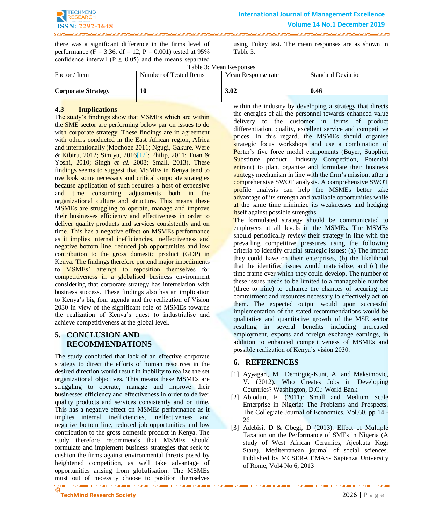

.<br>URI I HII I HII I HII I HII I HII I HII I HII I HII I HII I HII I HII I HII I HII I HII I HII I HII I HII I HII I HII I

there was a significant difference in the firms level of performance (F = 3.36, df = 12, P = 0.001) tested at  $95\%$ confidence interval ( $P \le 0.05$ ) and the means separated

. The material contract on the contract of the contract on the contract of the contract of the contract of the contract of the contract of the contract of the contract of the contract of the contract of the contract of the

using Tukey test. The mean responses are as shown in Table 3.

Table 3: Mean Responses

| Factor / Item             | Number of Tested Items | Mean Response rate | <b>Standard Deviation</b> |  |  |
|---------------------------|------------------------|--------------------|---------------------------|--|--|
| <b>Corporate Strategy</b> | 10                     | 3.02               | 0.46                      |  |  |

# **4.3 Implications**

The study's findings show that MSMEs which are within the SME sector are performing below par on issues to do with corporate strategy. These findings are in agreement with others conducted in the East African region, Africa and internationally (Mochoge 2011; Ngugi, Gakure, Were & Kibiru, 2012; Simiyu, 201[6\[12\];](#page-8-18) Philip, 2011; Tuan & Yoshi, 2010; Singh *et al.* 2008; Small, 2013). These findings seems to suggest that MSMEs in Kenya tend to overlook some necessary and critical corporate strategies because application of such requires a host of expensive and time consuming adjustments both in the organizational culture and structure. This means these MSMEs are struggling to operate, manage and improve their businesses efficiency and effectiveness in order to deliver quality products and services consistently and on time. This has a negative effect on MSMEs performance as it implies internal inefficiencies, ineffectiveness and negative bottom line, reduced job opportunities and low contribution to the gross domestic product (GDP) in Kenya. The findings therefore portend major impediments to MSMEs' attempt to reposition themselves for competitiveness in a globalised business environment considering that corporate strategy has interrelation with business success. These findings also has an implication to Kenya's big four agenda and the realization of Vision 2030 in view of the significant role of MSMEs towards the realization of Kenya's quest to industrialise and achieve competitiveness at the global level.

# **5. CONCLUSION AND RECOMMENDATIONS**

**©** The study concluded that lack of an effective corporate strategy to direct the efforts of human resources in the desired direction would result in inability to realize the set organizational objectives. This means these MSMEs are struggling to operate, manage and improve their businesses efficiency and effectiveness in order to deliver quality products and services consistently and on time. This has a negative effect on MSMEs performance as it implies internal inefficiencies, ineffectiveness and negative bottom line, reduced job opportunities and low contribution to the gross domestic product in Kenya. The study therefore recommends that MSMEs should formulate and implement business strategies that seek to cushion the firms against environmental threats posed by heightened competition, as well take advantage of opportunities arising from globalisation. The MSMEs must out of necessity choose to position themselves

within the industry by developing a strategy that directs the energies of all the personnel towards enhanced value delivery to the customer in terms of product differentiation, quality, excellent service and competitive prices. In this regard, the MSMEs should organise strategic focus workshops and use a combination of Porter's five force model components (Buyer, Supplier, Substitute product, Industry Competition, Potential entrant) to plan, organise and formulate their business strategy mechanism in line with the firm's mission, after a comprehensive SWOT analysis. A comprehensive SWOT profile analysis can help the MSMEs better take advantage of its strength and available opportunities while at the same time minimize its weaknesses and hedging itself against possible strengths.

The formulated strategy should be communicated to employees at all levels in the MSMEs. The MSMEs should periodically review their strategy in line with the prevailing competitive pressures using the following criteria to identify crucial strategic issues: (a) The impact they could have on their enterprises, (b) the likelihood that the identified issues would materialize, and (c) the time frame over which they could develop. The number of these issues needs to be limited to a manageable number (three to nine) to enhance the chances of securing the commitment and resources necessary to effectively act on them. The expected output would upon successful implementation of the stated recommendations would be qualitative and quantitative growth of the MSE sector resulting in several benefits including increased employment, exports and foreign exchange earnings, in addition to enhanced competitiveness of MSMEs and possible realization of Kenya's vision 2030.

# **6. REFERENCES**

- [1] Ayyagari, M., Demirgüç-Kunt, A. and Maksimovic, V. (2012). Who Creates Jobs in Developing Countries? Washington, D.C.: World Bank.
- [2] Abiodun, F. (2011): Small and Medium Scale Enterprise in Nigeria: The Problems and Prospects. The Collegiate Journal of Economics. Vol.60, pp 14 - 26
- [3] Adebisi, D & Gbegi, D (2013). Effect of Multiple Taxation on the Performance of SMEs in Nigeria (A study of West African Ceramics, Ajeokuta Kogi State). Mediterranean journal of social sciences. Published by MCSER-CEMAS- Sapienza University of Rome, Vol4 No 6, 2013

**TechMind Research Society** 2026 | P a g e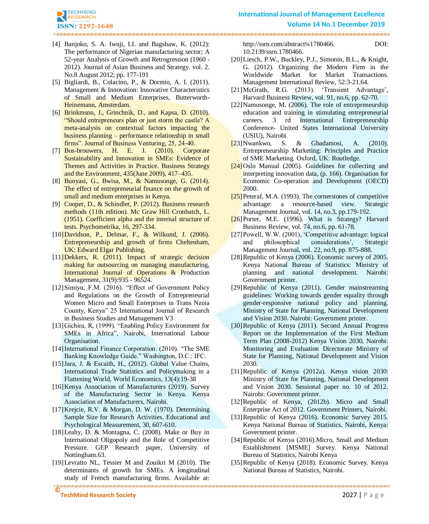

<span id="page-8-8"></span>[4] Banjoko, S. A. Iwuji, I.I. and Bagshaw, K. (2012): The performance of Nigerian manufacturing sector; A 52-year Analysis of Growth and Retrogression (1960 - 2012). Journal of Asian Business and Strategy. vol. 2. No.8 August 2012; pp. 177-191

- <span id="page-8-16"></span>[5] Bigliardi, B., Colacino, P., & Dormio, A. I. (2011). Management & Innovation: Innovative Characteristics of Small and Medium Enterprises, Butterworth-Heinemann, Amsterdam.
- <span id="page-8-4"></span>[6] Brinkmsnn, J., Grinchnik, D., and Kapsa, D. (2010). "Should entrepreneurs plan or just storm the castle? A meta-analysis on contextual factors impacting the business planning – performance relationship in small firms". Journal of Business Venturing, 25, 24-40.
- <span id="page-8-17"></span>[7] Bos-brouwers, H. E. J. (2010). Corporate Sustainability and Innovation in SMEs: Evidence of Themes and Activities in Practice. Business Strategy and the Environment, 435(June 2009), 417–435.
- [8] Bunyasi, G., Bwisa, M., & Namusonge, G. (2014). The effect of entrepreneurial finance on the growth of small and medium enterprises in Kenya.
- [9] Cooper, D., & Schindler, P. (2012). Business research methods (11th edition). Mc Graw Hill Cronbatch, L. (1951). Coefficient alpha and the internal structure of tests. Psychometrika, 16, 297-334.
- [10]Davidson, P., Delmar, F., & Wilkund, J. (2006). Entrepreneurship and growth of firms Cheltenham, UK: Edward Elgar Publishing.
- <span id="page-8-3"></span>[11] Dekkers, R. (2011). Impact of strategic decision making for outsourcing on managing manufacturing, International Journal of Operations & Production Management, 31(9):935 - 96524.
- <span id="page-8-18"></span>[12]Simiyu, F.M. (2016). "Effect of Government Policy and Regulations on the Growth of Entrepreneurial Women Micro and Small Enterprises in Trans Nzoia County, Kenya" 25 International Journal of Research in Business Studies and Management V3
- [13]Gichira, R, (1999). "Enabling Policy Environment for SMEs in Africa", Nairobi, International Labour Organisation.
- [14]International Finance Corporation. (2010). "The SME Banking Knowledge Guide." Washington, D.C.: IFC.
- <span id="page-8-6"></span>[15]Jara, J. & Escaith, H., (2012). Global Value Chains, International Trade Statistics and Policymaking in a Flattening World, World Economics, 13(4):19-38
- <span id="page-8-9"></span>[16]Kenya Association of Manufacturers (2019). Survey of the Manufacturing Sector in Kenya. Kenya Association of Manufacturers, Nairobi.
- [17]Krejcie, R.V. & Morgan, D. W. (1970). Determining Sample Size for Research Activities. Educational and Psychological Measurement, 30, 607-610.
- <span id="page-8-14"></span>[18]Leahy, D. & Montagna, C. (2008). Make or Buy in International Oligopoly and the Role of Competitive Pressure. GEP Research paper, University of Nottingham.63.
- <span id="page-8-7"></span>**©** [19]Levratto NL, Tessier M and Zouikri M (2010). The determinants of growth for SMEs. A longitudinal study of French manufacturing firms. Available at:

http://ssrn.com/abstract<sup>1</sup>/41780466. DOI: 10.2139/ssrn.1780466.

- <span id="page-8-5"></span>[20]Liesch, P.W., Buckley, P.J., Simonin, B.L., & Knight, G. (2012). Organizing the Modern Firm in the Worldwide Market for Market Transactions. Management International Review, 52:3-21.64.
- <span id="page-8-10"></span>[21]McGrath, R.G. (2013). 'Transient Advantage', Harvard Business Review, vol. 91, no.6, pp. 62-70.
- [22]Namusonge, M. (2006). The role of entrepreneurship education and training in stimulating entrepreneurial careers. 3 rd International Entrepreneurship Conference- United States International University (USIU), Nairobi
- <span id="page-8-15"></span>[23]Nwankwo, S. & Gbadamosi, A. (2010). Entrepreneurship Marketing: Principles and Practice of SME Marketing. Oxford, UK: Routledge.
- [24]Oslo Manual (2005). Guidelines for collecting and interpreting innovation data, (p. 166). Organisation for Economic Co-operation and Development (OECD) 2000.
- <span id="page-8-13"></span>[25] Peteraf, M.A. (1993). The cornerstones of competitive advantage: a resource-based view. Strategic Management Journal, vol. 14, no.3, pp.179-192.
- <span id="page-8-12"></span>[26]Porter, M.E. (1996). What is Strategy? Harvard Business Review, vol. 74, no.6, pp. 61-78.
- <span id="page-8-11"></span>[27]Powell, W.W. (2001), 'Competitive advantage: logical and philosophical considerations', Strategic Management Journal, vol. 22, no.9, pp. 875-888.
- [28]Republic of Kenya (2006). Economic survey of 2005. Kenya National Bureau of Statistics: Ministry of planning and national development. Nairobi: Government printer.
- [29]Republic of Kenya (2011). Gender mainstreaming guidelines: Working towards gender equality through gender-responsive national policy and planning. Ministry of State for Planning, National Development and Vision 2030. Nairobi: Government printer.
- [30]Republic of Kenya (2011). Second Annual Progress Report on the Implementation of the First Medium Term Plan (2008-2012) Kenya Vision 2030, Nairobi: Monitoring and Evaluation Directorate Ministry of State for Planning, National Development and Vision 2030.
- <span id="page-8-0"></span>[31]Republic of Kenya (2012a). Kenya vision 2030: Ministry of State for Planning, National Development and Vision 2030. Sessional paper no. 10 of 2012. Nairobi: Government printer.
- <span id="page-8-1"></span>[32] Republic of Kenya, (2012b). Micro and Small Enterprise Act of 2012. Government Printers, Nairobi.
- [33]Republic of Kenya (2016). Economic Survey 2015. Kenya National Bureau of Statistics. Nairobi, Kenya: Government printer.
- [34] Republic of Kenya (2016). Micro, Small and Medium Establishment [MSME] Survey. Kenya National Bureau of Statistics, Nairobi Kenya
- <span id="page-8-2"></span>[35]Republic of Kenya (2018). Economic Survey. Kenya National Bureau of Statistics, Nairobi.

**TechMind Research Society** 2027 | P a g e